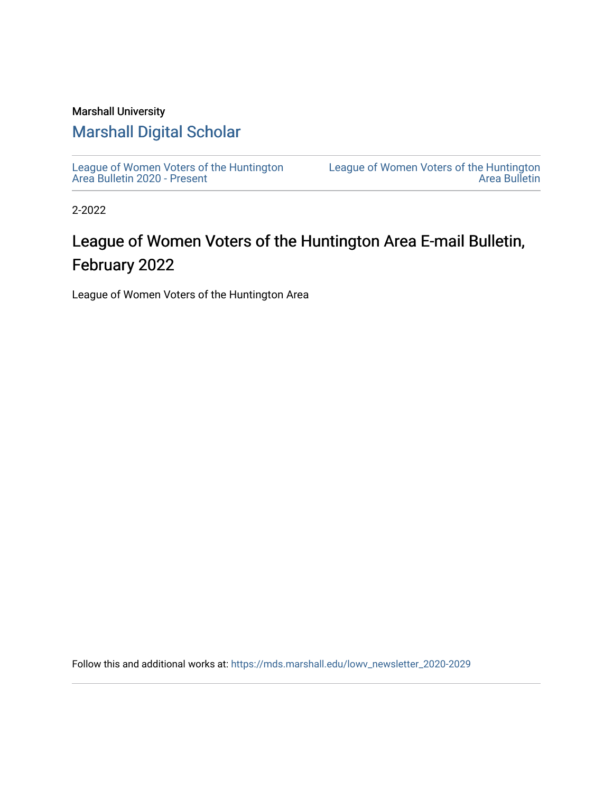#### Marshall University

### [Marshall Digital Scholar](https://mds.marshall.edu/)

[League of Women Voters of the Huntington](https://mds.marshall.edu/lowv_newsletter_2020-2029) [Area Bulletin 2020 - Present](https://mds.marshall.edu/lowv_newsletter_2020-2029)

[League of Women Voters of the Huntington](https://mds.marshall.edu/lowv_newsletter)  [Area Bulletin](https://mds.marshall.edu/lowv_newsletter) 

2-2022

### League of Women Voters of the Huntington Area E-mail Bulletin, February 2022

League of Women Voters of the Huntington Area

Follow this and additional works at: [https://mds.marshall.edu/lowv\\_newsletter\\_2020-2029](https://mds.marshall.edu/lowv_newsletter_2020-2029?utm_source=mds.marshall.edu%2Flowv_newsletter_2020-2029%2F11&utm_medium=PDF&utm_campaign=PDFCoverPages)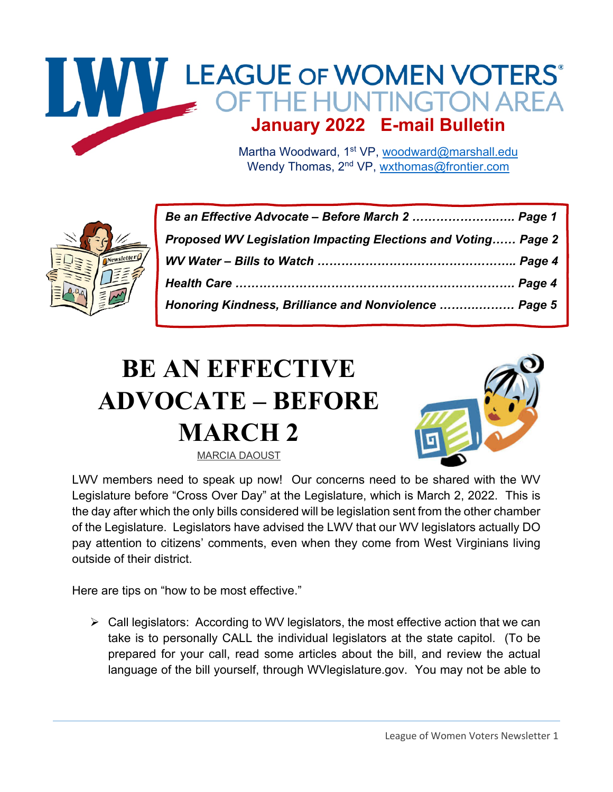

Wendy Thomas, 2<sup>nd</sup> VP, wxthomas@frontier.com



| Be an Effective Advocate - Before March 2  Page 1             |  |
|---------------------------------------------------------------|--|
| Proposed WV Legislation Impacting Elections and Voting Page 2 |  |
|                                                               |  |
|                                                               |  |
| Honoring Kindness, Brilliance and Nonviolence  Page 5         |  |

## **BE AN EFFECTIVE ADVOCATE – BEFORE MARCH 2** MARCIA DAOUST



LWV members need to speak up now! Our concerns need to be shared with the WV Legislature before "Cross Over Day" at the Legislature, which is March 2, 2022. This is the day after which the only bills considered will be legislation sent from the other chamber of the Legislature. Legislators have advised the LWV that our WV legislators actually DO pay attention to citizens' comments, even when they come from West Virginians living outside of their district.

Here are tips on "how to be most effective."

 $\triangleright$  Call legislators: According to WV legislators, the most effective action that we can take is to personally CALL the individual legislators at the state capitol. (To be prepared for your call, read some articles about the bill, and review the actual language of the bill yourself, through WVlegislature.gov. You may not be able to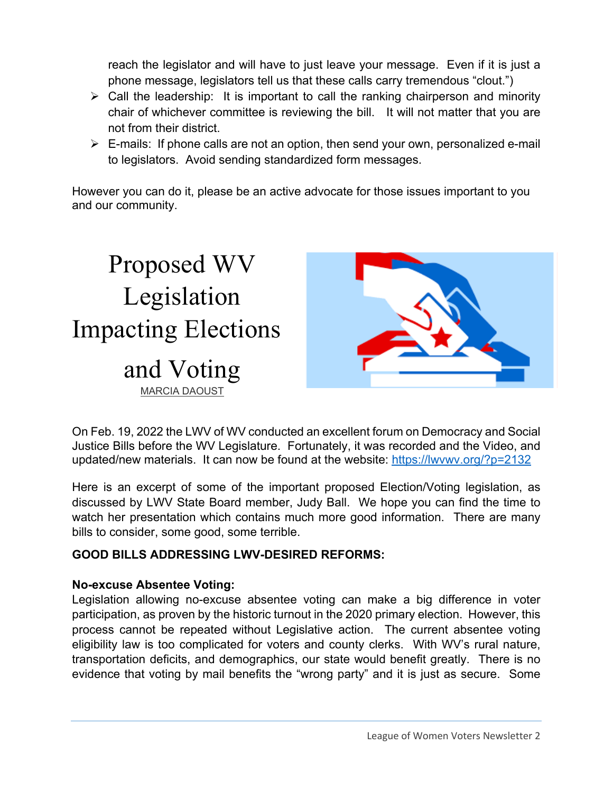reach the legislator and will have to just leave your message. Even if it is just a phone message, legislators tell us that these calls carry tremendous "clout.")

- $\triangleright$  Call the leadership: It is important to call the ranking chairperson and minority chair of whichever committee is reviewing the bill. It will not matter that you are not from their district.
- $\triangleright$  E-mails: If phone calls are not an option, then send your own, personalized e-mail to legislators. Avoid sending standardized form messages.

However you can do it, please be an active advocate for those issues important to you and our community.



On Feb. 19, 2022 the LWV of WV conducted an excellent forum on Democracy and Social Justice Bills before the WV Legislature. Fortunately, it was recorded and the Video, and updated/new materials. It can now be found at the website: https://lwvwv.org/?p=2132

Here is an excerpt of some of the important proposed Election/Voting legislation, as discussed by LWV State Board member, Judy Ball. We hope you can find the time to watch her presentation which contains much more good information. There are many bills to consider, some good, some terrible.

#### **GOOD BILLS ADDRESSING LWV-DESIRED REFORMS:**

#### **No-excuse Absentee Voting:**

Legislation allowing no-excuse absentee voting can make a big difference in voter participation, as proven by the historic turnout in the 2020 primary election. However, this process cannot be repeated without Legislative action. The current absentee voting eligibility law is too complicated for voters and county clerks. With WV's rural nature, transportation deficits, and demographics, our state would benefit greatly. There is no evidence that voting by mail benefits the "wrong party" and it is just as secure. Some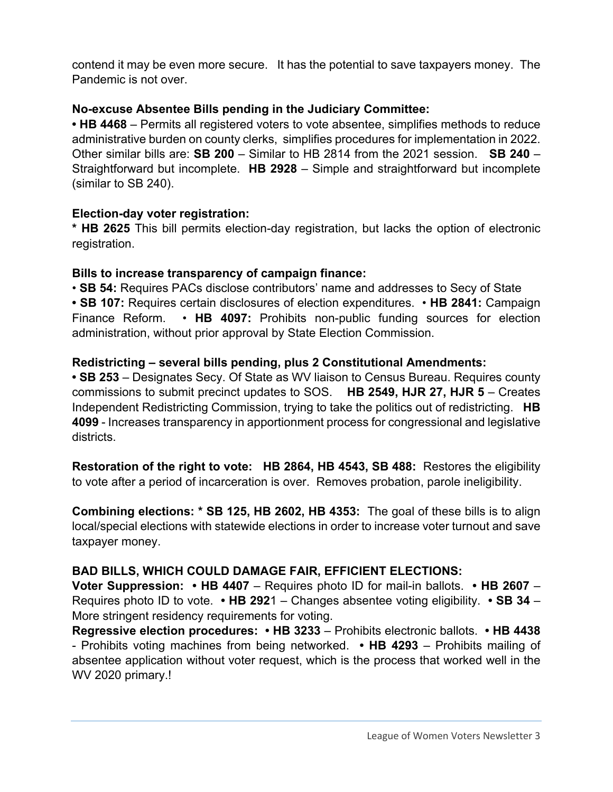contend it may be even more secure. It has the potential to save taxpayers money. The Pandemic is not over.

#### **No-excuse Absentee Bills pending in the Judiciary Committee:**

• **HB 4468** – Permits all registered voters to vote absentee, simplifies methods to reduce administrative burden on county clerks, simplifies procedures for implementation in 2022. Other similar bills are: **SB 200** – Similar to HB 2814 from the 2021 session. **SB 240** – Straightforward but incomplete. **HB 2928** – Simple and straightforward but incomplete (similar to SB 240).

#### **Election-day voter registration:**

**\* HB 2625** This bill permits election-day registration, but lacks the option of electronic registration.

#### **Bills to increase transparency of campaign finance:**

• **SB 54:** Requires PACs disclose contributors' name and addresses to Secy of State **• SB 107:** Requires certain disclosures of election expenditures. • **HB 2841:** Campaign Finance Reform. • **HB 4097:** Prohibits non-public funding sources for election administration, without prior approval by State Election Commission.

#### **Redistricting – several bills pending, plus 2 Constitutional Amendments:**

**• SB 253** – Designates Secy. Of State as WV liaison to Census Bureau. Requires county commissions to submit precinct updates to SOS. **HB 2549, HJR 27, HJR 5** – Creates Independent Redistricting Commission, trying to take the politics out of redistricting. **HB 4099** - Increases transparency in apportionment process for congressional and legislative districts.

**Restoration of the right to vote: HB 2864, HB 4543, SB 488:** Restores the eligibility to vote after a period of incarceration is over. Removes probation, parole ineligibility.

**Combining elections: \* SB 125, HB 2602, HB 4353:** The goal of these bills is to align local/special elections with statewide elections in order to increase voter turnout and save taxpayer money.

#### **BAD BILLS, WHICH COULD DAMAGE FAIR, EFFICIENT ELECTIONS:**

**Voter Suppression: • HB 4407** – Requires photo ID for mail-in ballots. **• HB 2607** – Requires photo ID to vote. **• HB 292**1 – Changes absentee voting eligibility. **• SB 34** – More stringent residency requirements for voting.

**Regressive election procedures: • HB 3233** – Prohibits electronic ballots. **• HB 4438** - Prohibits voting machines from being networked. **• HB 4293** – Prohibits mailing of absentee application without voter request, which is the process that worked well in the WV 2020 primary.!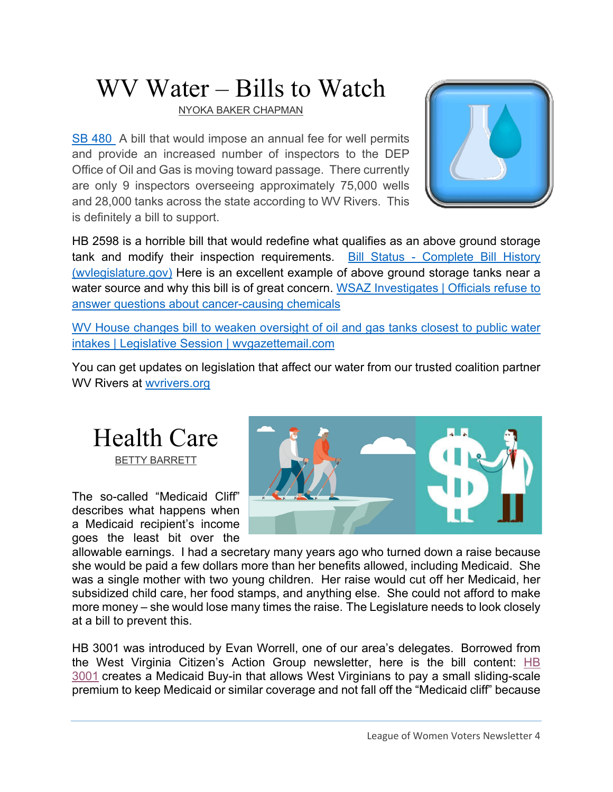# WV Water – Bills to Watch

NYOKA BAKER CHAPMAN

SB 480 A bill that would impose an annual fee for well permits and provide an increased number of inspectors to the DEP Office of Oil and Gas is moving toward passage. There currently are only 9 inspectors overseeing approximately 75,000 wells and 28,000 tanks across the state according to WV Rivers. This is definitely a bill to support.



HB 2598 is a horrible bill that would redefine what qualifies as an above ground storage tank and modify their inspection requirements. Bill Status - Complete Bill History (wvlegislature.gov) Here is an excellent example of above ground storage tanks near a water source and why this bill is of great concern. WSAZ Investigates | Officials refuse to answer questions about cancer-causing chemicals

WV House changes bill to weaken oversight of oil and gas tanks closest to public water intakes | Legislative Session | wvgazettemail.com

You can get updates on legislation that affect our water from our trusted coalition partner WV Rivers at wvrivers.org

## Health Care BETTY BARRETT

The so-called "Medicaid Cliff" describes what happens when a Medicaid recipient's income goes the least bit over the



allowable earnings. I had a secretary many years ago who turned down a raise because she would be paid a few dollars more than her benefits allowed, including Medicaid. She was a single mother with two young children. Her raise would cut off her Medicaid, her subsidized child care, her food stamps, and anything else. She could not afford to make more money – she would lose many times the raise. The Legislature needs to look closely at a bill to prevent this.

HB 3001 was introduced by Evan Worrell, one of our area's delegates. Borrowed from the West Virginia Citizen's Action Group newsletter, here is the bill content: HB 3001 creates a Medicaid Buy-in that allows West Virginians to pay a small sliding-scale premium to keep Medicaid or similar coverage and not fall off the "Medicaid cliff" because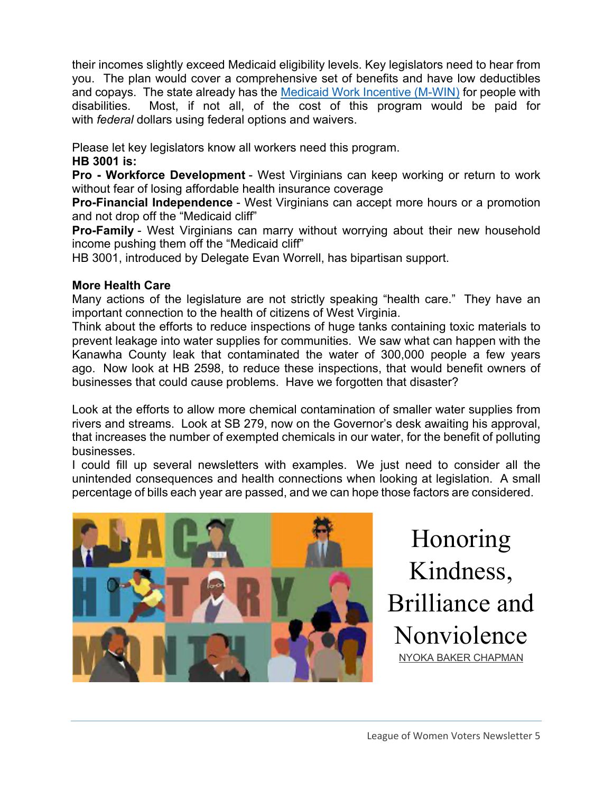their incomes slightly exceed Medicaid eligibility levels. Key legislators need to hear from you. The plan would cover a comprehensive set of benefits and have low deductibles and copays. The state already has the Medicaid Work Incentive (M-WIN) for people with disabilities. Most, if not all, of the cost of this program would be paid for with *federal* dollars using federal options and waivers.

Please let key legislators know all workers need this program.

#### **HB 3001 is:**

**Pro - Workforce Development** - West Virginians can keep working or return to work without fear of losing affordable health insurance coverage

**Pro-Financial Independence** - West Virginians can accept more hours or a promotion and not drop off the "Medicaid cliff"

**Pro-Family** - West Virginians can marry without worrying about their new household income pushing them off the "Medicaid cliff"

HB 3001, introduced by Delegate Evan Worrell, has bipartisan support.

#### **More Health Care**

Many actions of the legislature are not strictly speaking "health care." They have an important connection to the health of citizens of West Virginia.

Think about the efforts to reduce inspections of huge tanks containing toxic materials to prevent leakage into water supplies for communities. We saw what can happen with the Kanawha County leak that contaminated the water of 300,000 people a few years ago. Now look at HB 2598, to reduce these inspections, that would benefit owners of businesses that could cause problems. Have we forgotten that disaster?

Look at the efforts to allow more chemical contamination of smaller water supplies from rivers and streams. Look at SB 279, now on the Governor's desk awaiting his approval, that increases the number of exempted chemicals in our water, for the benefit of polluting businesses.

I could fill up several newsletters with examples. We just need to consider all the unintended consequences and health connections when looking at legislation. A small percentage of bills each year are passed, and we can hope those factors are considered.



Honoring Kindness, Brilliance and Nonviolence NYOKA BAKER CHAPMAN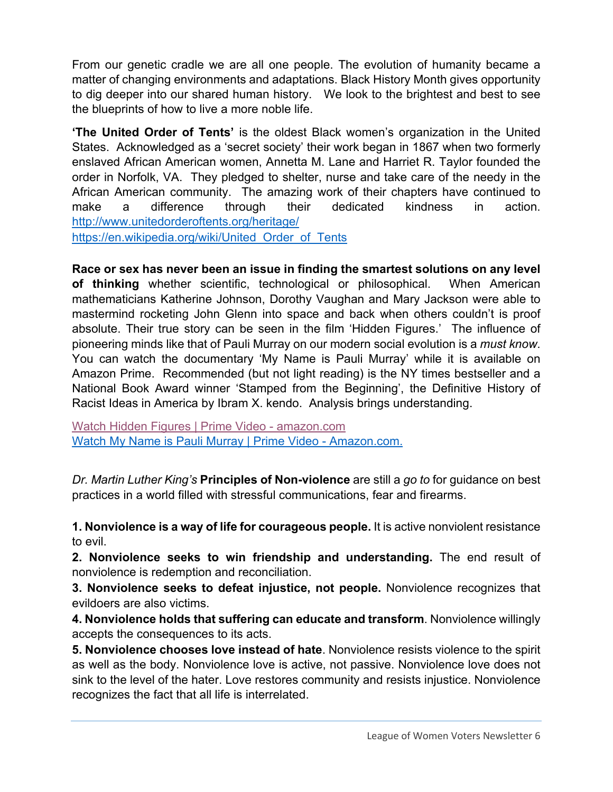From our genetic cradle we are all one people. The evolution of humanity became a matter of changing environments and adaptations. Black History Month gives opportunity to dig deeper into our shared human history. We look to the brightest and best to see the blueprints of how to live a more noble life.

**'The United Order of Tents'** is the oldest Black women's organization in the United States. Acknowledged as a 'secret society' their work began in 1867 when two formerly enslaved African American women, Annetta M. Lane and Harriet R. Taylor founded the order in Norfolk, VA. They pledged to shelter, nurse and take care of the needy in the African American community. The amazing work of their chapters have continued to make a difference through their dedicated kindness in action. http://www.unitedorderoftents.org/heritage/ https://en.wikipedia.org/wiki/United Order of Tents

**Race or sex has never been an issue in finding the smartest solutions on any level of thinking** whether scientific, technological or philosophical. When American mathematicians Katherine Johnson, Dorothy Vaughan and Mary Jackson were able to mastermind rocketing John Glenn into space and back when others couldn't is proof absolute. Their true story can be seen in the film 'Hidden Figures.' The influence of pioneering minds like that of Pauli Murray on our modern social evolution is a *must know*. You can watch the documentary 'My Name is Pauli Murray' while it is available on Amazon Prime. Recommended (but not light reading) is the NY times bestseller and a National Book Award winner 'Stamped from the Beginning', the Definitive History of Racist Ideas in America by Ibram X. kendo. Analysis brings understanding.

Watch Hidden Figures | Prime Video - amazon.com Watch My Name is Pauli Murray | Prime Video - Amazon.com.

*Dr. Martin Luther King's* **Principles of Non-violence** are still a *go to* for guidance on best practices in a world filled with stressful communications, fear and firearms.

**1. Nonviolence is a way of life for courageous people.** It is active nonviolent resistance to evil.

**2. Nonviolence seeks to win friendship and understanding.** The end result of nonviolence is redemption and reconciliation.

**3. Nonviolence seeks to defeat injustice, not people.** Nonviolence recognizes that evildoers are also victims.

**4. Nonviolence holds that suffering can educate and transform**. Nonviolence willingly accepts the consequences to its acts.

**5. Nonviolence chooses love instead of hate**. Nonviolence resists violence to the spirit as well as the body. Nonviolence love is active, not passive. Nonviolence love does not sink to the level of the hater. Love restores community and resists injustice. Nonviolence recognizes the fact that all life is interrelated.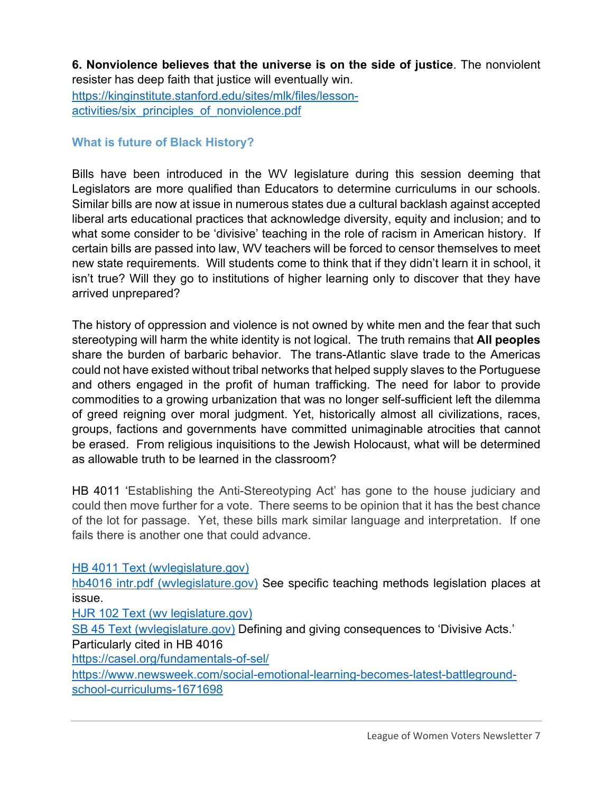**6. Nonviolence believes that the universe is on the side of justice**. The nonviolent resister has deep faith that justice will eventually win.

https://kinginstitute.stanford.edu/sites/mlk/files/lessonactivities/six\_principles\_of\_nonviolence.pdf

#### **What is future of Black History?**

Bills have been introduced in the WV legislature during this session deeming that Legislators are more qualified than Educators to determine curriculums in our schools. Similar bills are now at issue in numerous states due a cultural backlash against accepted liberal arts educational practices that acknowledge diversity, equity and inclusion; and to what some consider to be 'divisive' teaching in the role of racism in American history. If certain bills are passed into law, WV teachers will be forced to censor themselves to meet new state requirements. Will students come to think that if they didn't learn it in school, it isn't true? Will they go to institutions of higher learning only to discover that they have arrived unprepared?

The history of oppression and violence is not owned by white men and the fear that such stereotyping will harm the white identity is not logical. The truth remains that **All peoples**  share the burden of barbaric behavior. The trans-Atlantic slave trade to the Americas could not have existed without tribal networks that helped supply slaves to the Portuguese and others engaged in the profit of human trafficking. The need for labor to provide commodities to a growing urbanization that was no longer self-sufficient left the dilemma of greed reigning over moral judgment. Yet, historically almost all civilizations, races, groups, factions and governments have committed unimaginable atrocities that cannot be erased. From religious inquisitions to the Jewish Holocaust, what will be determined as allowable truth to be learned in the classroom?

HB 4011 'Establishing the Anti-Stereotyping Act' has gone to the house judiciary and could then move further for a vote. There seems to be opinion that it has the best chance of the lot for passage. Yet, these bills mark similar language and interpretation. If one fails there is another one that could advance.

HB 4011 Text (wvlegislature.gov)

hb4016 intr.pdf (wylegislature.gov) See specific teaching methods legislation places at issue.

HJR 102 Text (wv legislature.gov)

SB 45 Text (wvlegislature.gov) Defining and giving consequences to 'Divisive Acts.' Particularly cited in HB 4016

https://casel.org/fundamentals-of-sel/

https://www.newsweek.com/social-emotional-learning-becomes-latest-battlegroundschool-curriculums-1671698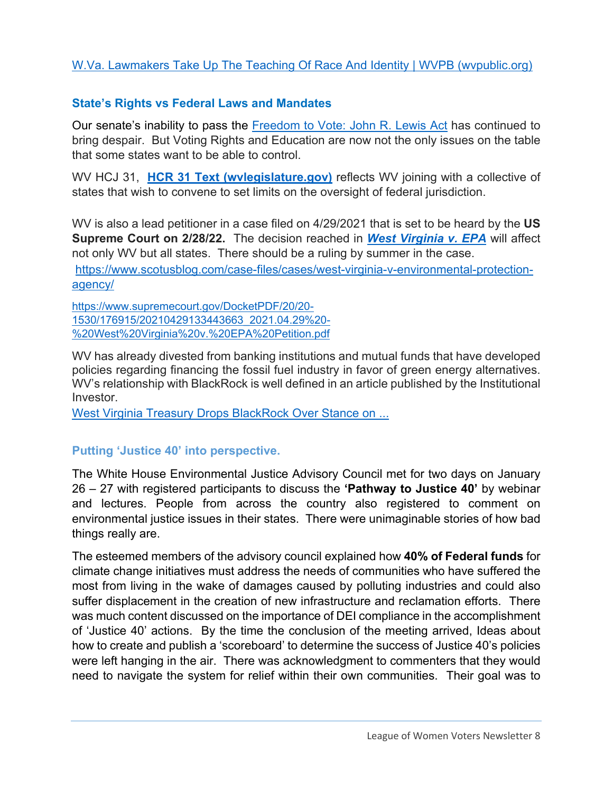#### W.Va. Lawmakers Take Up The Teaching Of Race And Identity | WVPB (wvpublic.org)

#### **State's Rights vs Federal Laws and Mandates**

Our senate's inability to pass the Freedom to Vote: John R. Lewis Act has continued to bring despair. But Voting Rights and Education are now not the only issues on the table that some states want to be able to control.

WV HCJ 31, **HCR 31 Text (wvlegislature.gov)** reflects WV joining with a collective of states that wish to convene to set limits on the oversight of federal jurisdiction.

WV is also a lead petitioner in a case filed on 4/29/2021 that is set to be heard by the **US Supreme Court on 2/28/22.** The decision reached in *West Virginia v. EPA* will affect not only WV but all states. There should be a ruling by summer in the case. https://www.scotusblog.com/case-files/cases/west-virginia-v-environmental-protectionagency/

https://www.supremecourt.gov/DocketPDF/20/20- 1530/176915/20210429133443663\_2021.04.29%20- %20West%20Virginia%20v.%20EPA%20Petition.pdf

WV has already divested from banking institutions and mutual funds that have developed policies regarding financing the fossil fuel industry in favor of green energy alternatives. WV's relationship with BlackRock is well defined in an article published by the Institutional Investor.

West Virginia Treasury Drops BlackRock Over Stance on ...

#### **Putting 'Justice 40' into perspective.**

The White House Environmental Justice Advisory Council met for two days on January 26 – 27 with registered participants to discuss the **'Pathway to Justice 40'** by webinar and lectures. People from across the country also registered to comment on environmental justice issues in their states. There were unimaginable stories of how bad things really are.

The esteemed members of the advisory council explained how **40% of Federal funds** for climate change initiatives must address the needs of communities who have suffered the most from living in the wake of damages caused by polluting industries and could also suffer displacement in the creation of new infrastructure and reclamation efforts. There was much content discussed on the importance of DEI compliance in the accomplishment of 'Justice 40' actions. By the time the conclusion of the meeting arrived, Ideas about how to create and publish a 'scoreboard' to determine the success of Justice 40's policies were left hanging in the air. There was acknowledgment to commenters that they would need to navigate the system for relief within their own communities. Their goal was to